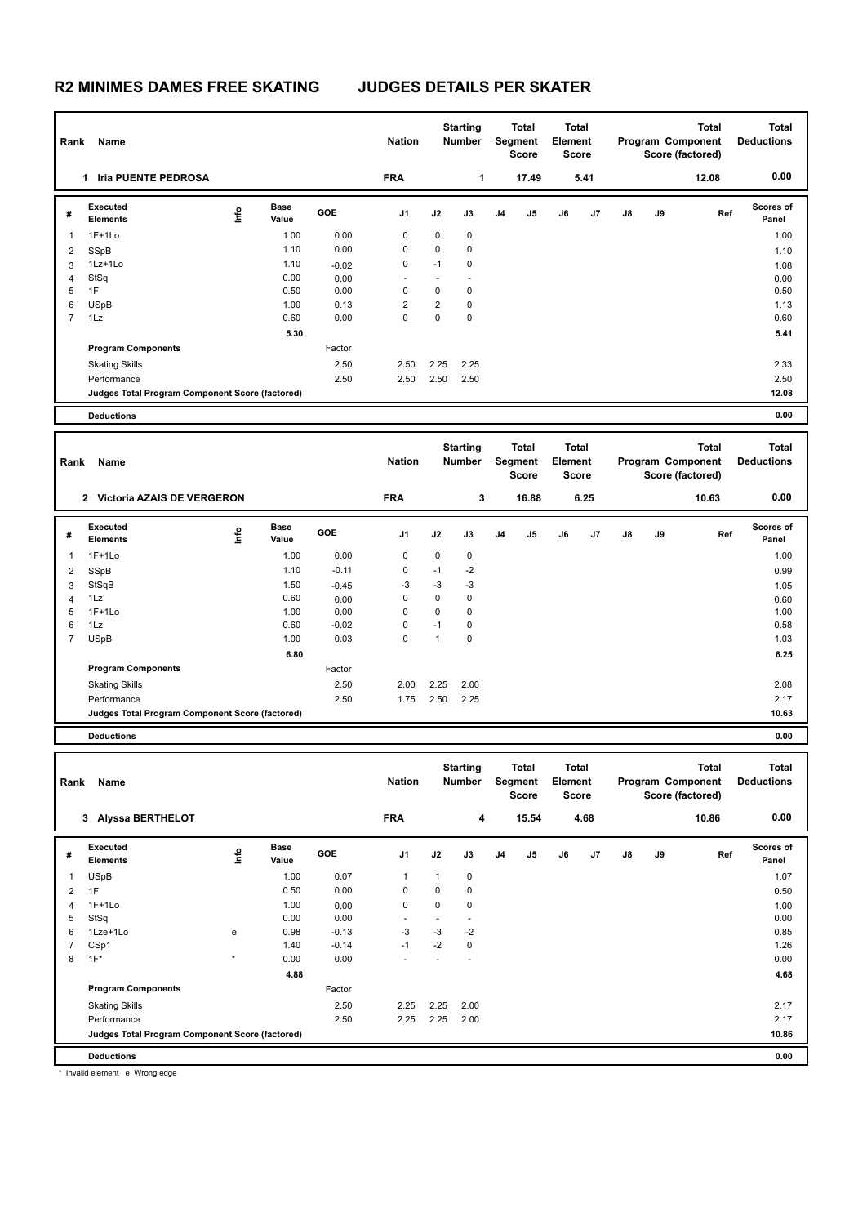|                                 | Name<br>Rank                                    |                                  |                      |         |                 | <b>Starting</b><br><b>Total</b><br>Segment<br>Number<br><b>Score</b> |                           |                           | Total<br>Element<br><b>Score</b>                                     |                           | <b>Total</b><br>Program Component<br>Score (factored) |                                       |    | <b>Total</b><br><b>Deductions</b> |                            |
|---------------------------------|-------------------------------------------------|----------------------------------|----------------------|---------|-----------------|----------------------------------------------------------------------|---------------------------|---------------------------|----------------------------------------------------------------------|---------------------------|-------------------------------------------------------|---------------------------------------|----|-----------------------------------|----------------------------|
| 1 Iria PUENTE PEDROSA           |                                                 |                                  |                      |         | <b>FRA</b>      |                                                                      | 1                         |                           | 17.49                                                                | 5.41                      |                                                       |                                       |    | 12.08                             | 0.00                       |
| #                               | Executed<br><b>Elements</b>                     | lnfo                             | <b>Base</b><br>Value | GOE     | J1              | J2                                                                   | J3                        | J <sub>4</sub>            | J5                                                                   | J6                        | J7                                                    | J8                                    | J9 | Ref                               | <b>Scores of</b><br>Panel  |
| $\mathbf{1}$                    | $1F+1Lo$                                        |                                  | 1.00                 | 0.00    | 0               | 0                                                                    | 0                         |                           |                                                                      |                           |                                                       |                                       |    |                                   | 1.00                       |
| $\overline{\mathbf{c}}$         | SSpB                                            |                                  | 1.10                 | 0.00    | 0               | 0                                                                    | 0                         |                           |                                                                      |                           |                                                       |                                       |    |                                   | 1.10                       |
| 3                               | $1Lz+1Lo$                                       |                                  | 1.10                 | $-0.02$ | 0               | $-1$                                                                 | 0                         |                           |                                                                      |                           |                                                       |                                       |    |                                   | 1.08                       |
| 4                               | StSq                                            |                                  | 0.00                 | 0.00    |                 | $\blacksquare$                                                       | ٠                         |                           |                                                                      |                           |                                                       |                                       |    |                                   | 0.00                       |
| 5                               | 1F                                              |                                  | 0.50                 | 0.00    | $\mathbf 0$     | 0                                                                    | 0                         |                           |                                                                      |                           |                                                       |                                       |    |                                   | 0.50                       |
| 6                               | <b>USpB</b>                                     |                                  | 1.00                 | 0.13    | $\overline{2}$  | $\overline{2}$                                                       | 0                         |                           |                                                                      |                           |                                                       |                                       |    |                                   | 1.13                       |
| 7                               | 1Lz                                             |                                  | 0.60                 | 0.00    | $\mathbf 0$     | $\mathbf 0$                                                          | 0                         |                           |                                                                      |                           |                                                       |                                       |    |                                   | 0.60                       |
|                                 |                                                 |                                  | 5.30                 |         |                 |                                                                      |                           |                           |                                                                      |                           |                                                       |                                       |    |                                   | 5.41                       |
|                                 | <b>Program Components</b>                       |                                  |                      | Factor  |                 |                                                                      |                           |                           |                                                                      |                           |                                                       |                                       |    |                                   |                            |
|                                 | <b>Skating Skills</b>                           |                                  |                      | 2.50    | 2.50            | 2.25                                                                 | 2.25                      |                           |                                                                      |                           |                                                       |                                       |    |                                   | 2.33                       |
|                                 | Performance                                     |                                  |                      | 2.50    | 2.50            | 2.50                                                                 | 2.50                      |                           |                                                                      |                           |                                                       |                                       |    |                                   | 2.50                       |
|                                 | Judges Total Program Component Score (factored) |                                  |                      |         |                 |                                                                      |                           |                           |                                                                      |                           |                                                       |                                       |    |                                   | 12.08                      |
|                                 | <b>Deductions</b>                               |                                  |                      |         |                 |                                                                      |                           |                           |                                                                      |                           |                                                       |                                       |    |                                   | 0.00                       |
|                                 |                                                 |                                  |                      |         |                 |                                                                      |                           |                           |                                                                      |                           |                                                       |                                       |    |                                   |                            |
| Rank<br>Name                    |                                                 |                                  |                      |         | <b>Nation</b>   |                                                                      | <b>Starting</b><br>Number |                           | Total<br>Total<br>Segment<br>Element<br><b>Score</b><br><b>Score</b> |                           | <b>Total</b><br>Program Component<br>Score (factored) |                                       |    | <b>Total</b><br><b>Deductions</b> |                            |
|                                 | 2 Victoria AZAIS DE VERGERON                    |                                  |                      |         | <b>FRA</b><br>3 |                                                                      | 16.88                     |                           | 6.25                                                                 |                           | 10.63                                                 |                                       |    | 0.00                              |                            |
| #                               | Executed<br><b>Elements</b>                     | lnfo                             | <b>Base</b><br>Value | GOE     | J1              | J2                                                                   | J3                        | J4                        | J5                                                                   | J6                        | J7                                                    | J8                                    | J9 | Ref                               | Scores of<br>Panel         |
| $\mathbf{1}$                    | $1F+1Lo$                                        |                                  | 1.00                 | 0.00    | $\mathbf 0$     | 0                                                                    | 0                         |                           |                                                                      |                           |                                                       |                                       |    |                                   | 1.00                       |
| $\overline{2}$                  | SSpB                                            |                                  | 1.10                 | $-0.11$ | $\mathbf 0$     | $-1$                                                                 | $-2$                      |                           |                                                                      |                           |                                                       |                                       |    |                                   | 0.99                       |
| 3                               | StSqB                                           |                                  | 1.50                 | $-0.45$ | $-3$            | -3                                                                   | $-3$                      |                           |                                                                      |                           |                                                       |                                       |    |                                   | 1.05                       |
| 4                               | 1Lz                                             |                                  | 0.60                 | 0.00    | $\mathbf 0$     | 0                                                                    | 0                         |                           |                                                                      |                           |                                                       |                                       |    |                                   | 0.60                       |
| 5                               | $1F+1Lo$                                        |                                  | 1.00                 | 0.00    | $\mathbf 0$     | 0                                                                    | 0                         |                           |                                                                      |                           |                                                       |                                       |    |                                   | 1.00                       |
| 6                               | 1Lz                                             |                                  | 0.60                 | $-0.02$ | 0               | $-1$                                                                 | 0                         |                           |                                                                      |                           |                                                       |                                       |    |                                   | 0.58                       |
| $\overline{7}$                  | <b>USpB</b>                                     |                                  | 1.00                 | 0.03    | $\mathbf 0$     | $\mathbf{1}$                                                         | 0                         |                           |                                                                      |                           |                                                       |                                       |    |                                   | 1.03                       |
|                                 |                                                 |                                  | 6.80                 |         |                 |                                                                      |                           |                           |                                                                      |                           |                                                       |                                       |    |                                   | 6.25                       |
|                                 | <b>Program Components</b>                       |                                  |                      | Factor  |                 |                                                                      |                           |                           |                                                                      |                           |                                                       |                                       |    |                                   |                            |
|                                 | <b>Skating Skills</b>                           |                                  |                      | 2.50    | 2.00            | 2.25                                                                 | 2.00                      |                           |                                                                      |                           |                                                       |                                       |    |                                   | 2.08                       |
|                                 | Performance                                     |                                  |                      | 2.50    | 1.75            | 2.50                                                                 | 2.25                      |                           |                                                                      |                           |                                                       |                                       |    |                                   | 2.17                       |
|                                 | Judges Total Program Component Score (factored) |                                  |                      |         |                 |                                                                      |                           |                           |                                                                      |                           |                                                       |                                       |    |                                   | 10.63                      |
|                                 | <b>Deductions</b>                               |                                  |                      |         |                 |                                                                      |                           |                           |                                                                      |                           |                                                       |                                       |    |                                   | 0.00                       |
|                                 |                                                 |                                  |                      |         |                 |                                                                      |                           |                           |                                                                      |                           |                                                       |                                       |    |                                   |                            |
| Rank Name<br>3 Alyssa BERTHELOT |                                                 |                                  |                      |         | <b>Nation</b>   | <b>Starting</b><br>Number                                            |                           | Total<br>Segment<br>Score |                                                                      | Total<br>Element<br>Score |                                                       | Program Component<br>Score (factored) |    | Total                             | Total<br><b>Deductions</b> |
|                                 |                                                 |                                  |                      |         | <b>FRA</b>      |                                                                      | 4                         |                           | 15.54                                                                | 4.68                      |                                                       |                                       |    | 10.86                             | 0.00                       |
|                                 | Executed                                        |                                  | <b>Base</b>          | GOE     |                 |                                                                      |                           |                           |                                                                      |                           |                                                       |                                       |    |                                   | Scores of                  |
| #                               | Elements                                        | $\mathop{\mathsf{Int}}\nolimits$ | Value                |         | J1              | J2                                                                   | J3                        | J4                        | J5                                                                   | J6                        | J7                                                    | J8                                    | J9 | Ref                               | Panel                      |
| $\mathbf{1}$                    | <b>USpB</b>                                     |                                  | 1.00                 | 0.07    | 1               | $\mathbf{1}$                                                         | 0                         |                           |                                                                      |                           |                                                       |                                       |    |                                   | 1.07                       |
| $\overline{2}$                  | 1F                                              |                                  | 0.50                 | 0.00    | 0               | 0                                                                    | $\pmb{0}$                 |                           |                                                                      |                           |                                                       |                                       |    |                                   | 0.50                       |
| $\overline{4}$                  | $1F+1Lo$                                        |                                  | 1.00                 | 0.00    | 0               | 0                                                                    | 0                         |                           |                                                                      |                           |                                                       |                                       |    |                                   | 1.00                       |
| 5                               | StSq                                            |                                  | 0.00                 | 0.00    | ä,              | $\omega$                                                             | ä,                        |                           |                                                                      |                           |                                                       |                                       |    |                                   | 0.00                       |
| 6                               | 1Lze+1Lo                                        | ${\bf e}$                        | 0.98                 | $-0.13$ | $-3$            | $-3$                                                                 | $-2$                      |                           |                                                                      |                           |                                                       |                                       |    |                                   | 0.85                       |
| $\overline{7}$                  | CSp1                                            |                                  | 1.40                 | $-0.14$ | $-1$            | $-2$                                                                 | $\pmb{0}$                 |                           |                                                                      |                           |                                                       |                                       |    |                                   | 1.26                       |
| 8                               | $1F^*$                                          | $\star$                          | 0.00                 | 0.00    |                 |                                                                      |                           |                           |                                                                      |                           |                                                       |                                       |    |                                   | 0.00                       |
|                                 |                                                 |                                  | 4.88                 |         |                 |                                                                      |                           |                           |                                                                      |                           |                                                       |                                       |    |                                   | 4.68                       |
|                                 | <b>Program Components</b>                       |                                  |                      | Factor  |                 |                                                                      |                           |                           |                                                                      |                           |                                                       |                                       |    |                                   |                            |
|                                 | <b>Skating Skills</b>                           |                                  |                      | 2.50    | 2.25            | 2.25                                                                 | 2.00                      |                           |                                                                      |                           |                                                       |                                       |    |                                   | 2.17                       |
|                                 | Performance                                     |                                  |                      | 2.50    | 2.25            | 2.25                                                                 | 2.00                      |                           |                                                                      |                           |                                                       |                                       |    |                                   | 2.17                       |
|                                 | Judges Total Program Component Score (factored) |                                  |                      |         |                 |                                                                      |                           |                           |                                                                      |                           |                                                       |                                       |    |                                   | 10.86                      |
|                                 | <b>Deductions</b>                               |                                  |                      |         |                 |                                                                      |                           |                           |                                                                      |                           |                                                       |                                       |    |                                   | 0.00                       |

\* Invalid element e Wrong edge